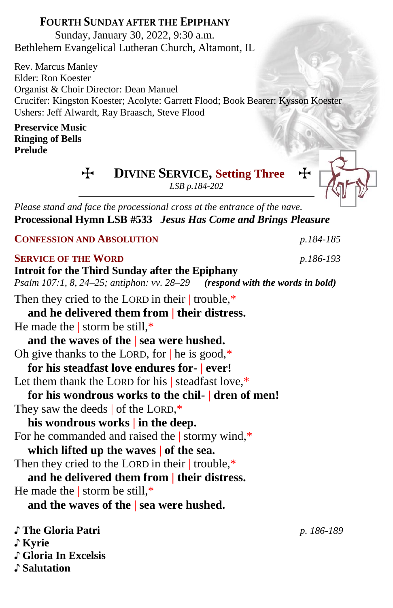## **FOURTH SUNDAY AFTER THE EPIPHANY**

Sunday, January 30, 2022, 9:30 a.m. Bethlehem Evangelical Lutheran Church, Altamont, IL

Rev. Marcus Manley Elder: Ron Koester Organist & Choir Director: Dean Manuel Crucifer: Kingston Koester; Acolyte: Garrett Flood; Book Bearer: Kysson Koester Ushers: Jeff Alwardt, Ray Braasch, Steve Flood

### **Preservice Music Ringing of Bells Prelude**

 $\div$  **DIVINE SERVICE, Setting Three** 

*LSB p.184-202*

*Please stand and face the processional cross at the entrance of the nave.* **Processional Hymn LSB #533** *Jesus Has Come and Brings Pleasure*

**CONFESSION AND ABSOLUTION** *p.184-185*

## **SERVICE OF THE WORD** *p.186-193*

♪ **Gloria In Excelsis**

♪ **Salutation**

**Introit for the Third Sunday after the Epiphany** *Psalm 107:1, 8, 24–25; antiphon: vv. 28–29**(respond with the words in bold)* Then they cried to the LORD in their | trouble,\* **and he delivered them from | their distress.** He made the | storm be still, $*$ **and the waves of the | sea were hushed.** Oh give thanks to the LORD, for  $|$  he is good, $*$ **for his steadfast love endures for- | ever!** Let them thank the LORD for his | steadfast love.<sup>\*</sup> **for his wondrous works to the chil- | dren of men!** They saw the deeds | of the LORD,\* **his wondrous works | in the deep.** For he commanded and raised the | stormy wind,\* **which lifted up the waves | of the sea.** Then they cried to the LORD in their trouble,\* **and he delivered them from | their distress.** He made the | storm be still, $*$ **and the waves of the | sea were hushed.** ♪ **The Gloria Patri** *p. 186-189* ♪ **Kyrie**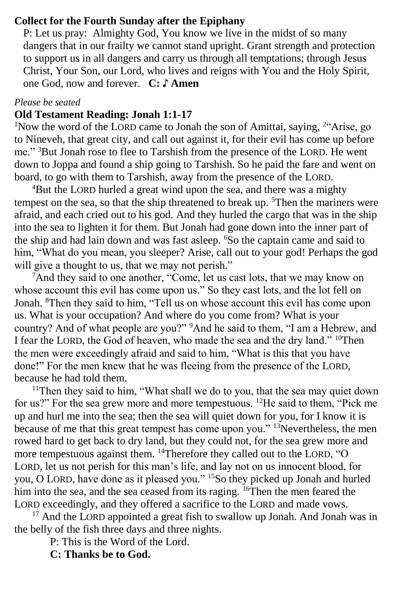### **Collect for the Fourth Sunday after the Epiphany**

P: Let us pray: Almighty God, You know we live in the midst of so many dangers that in our frailty we cannot stand upright. Grant strength and protection to support us in all dangers and carry us through all temptations; through Jesus Christ, Your Son, our Lord, who lives and reigns with You and the Holy Spirit, one God, now and forever. **C: ♪ Amen**

#### *Please be seated*

## **Old Testament Reading: Jonah 1:1-17**

<sup>1</sup>Now the word of the LORD came to Jonah the son of Amittai, saying, <sup>2"</sup>Arise, go to Nineveh, that great city, and call out against it, for their evil has come up before me." <sup>3</sup>But Jonah rose to flee to Tarshish from the presence of the LORD. He went down to Joppa and found a ship going to Tarshish. So he paid the fare and went on board, to go with them to Tarshish, away from the presence of the LORD.

<sup>4</sup>But the LORD hurled a great wind upon the sea, and there was a mighty tempest on the sea, so that the ship threatened to break up.  $5$ Then the mariners were afraid, and each cried out to his god. And they hurled the cargo that was in the ship into the sea to lighten it for them. But Jonah had gone down into the inner part of the ship and had lain down and was fast asleep. <sup>6</sup>So the captain came and said to him, "What do you mean, you sleeper? Arise, call out to your god! Perhaps the god will give a thought to us, that we may not perish."

<sup>7</sup>And they said to one another, "Come, let us cast lots, that we may know on whose account this evil has come upon us." So they cast lots, and the lot fell on Jonah. <sup>8</sup>Then they said to him, "Tell us on whose account this evil has come upon us. What is your occupation? And where do you come from? What is your country? And of what people are you?" <sup>9</sup>And he said to them, "I am a Hebrew, and I fear the LORD, the God of heaven, who made the sea and the dry land." <sup>10</sup>Then the men were exceedingly afraid and said to him, "What is this that you have done!" For the men knew that he was fleeing from the presence of the LORD, because he had told them.

<sup>11</sup>Then they said to him, "What shall we do to you, that the sea may quiet down for us?" For the sea grew more and more tempestuous. <sup>12</sup>He said to them, "Pick me up and hurl me into the sea; then the sea will quiet down for you, for I know it is because of me that this great tempest has come upon you." <sup>13</sup>Nevertheless, the men rowed hard to get back to dry land, but they could not, for the sea grew more and more tempestuous against them. <sup>14</sup>Therefore they called out to the LORD, "O LORD, let us not perish for this man's life, and lay not on us innocent blood, for you, O LORD, have done as it pleased you." <sup>15</sup>So they picked up Jonah and hurled him into the sea, and the sea ceased from its raging. <sup>16</sup>Then the men feared the LORD exceedingly, and they offered a sacrifice to the LORD and made vows.

<sup>17</sup> And the LORD appointed a great fish to swallow up Jonah. And Jonah was in the belly of the fish three days and three nights.

P: This is the Word of the Lord.

**C: Thanks be to God.**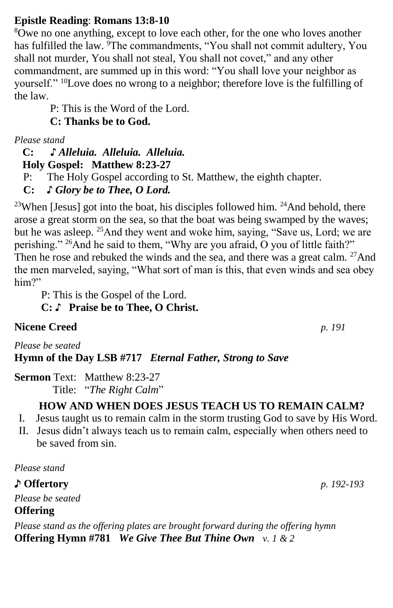## **Epistle Reading**: **Romans 13:8-10**

<sup>8</sup>Owe no one anything, except to love each other, for the one who loves another has fulfilled the law. <sup>9</sup>The commandments, "You shall not commit adultery, You shall not murder, You shall not steal, You shall not covet," and any other commandment, are summed up in this word: "You shall love your neighbor as yourself." <sup>10</sup>Love does no wrong to a neighbor; therefore love is the fulfilling of the law.

P: This is the Word of the Lord.

**C: Thanks be to God.**

*Please stand*

 **C: ♪** *Alleluia. Alleluia. Alleluia.*  **Holy Gospel: Matthew 8:23-27**

P: The Holy Gospel according to St. Matthew, the eighth chapter.

**C:** *♪ Glory be to Thee, O Lord.*

<sup>23</sup>When [Jesus] got into the boat, his disciples followed him. <sup>24</sup>And behold, there arose a great storm on the sea, so that the boat was being swamped by the waves; but he was asleep. <sup>25</sup>And they went and woke him, saying, "Save us, Lord; we are perishing." <sup>26</sup>And he said to them, "Why are you afraid, O you of little faith?" Then he rose and rebuked the winds and the sea, and there was a great calm.  $27$ And the men marveled, saying, "What sort of man is this, that even winds and sea obey him?"

P: This is the Gospel of the Lord.

**C:** ♪ **Praise be to Thee, O Christ.**

# **Nicene Creed** *p. 191*

*Please be seated* **Hymn of the Day LSB #717** *Eternal Father, Strong to Save*

**Sermon Text: Matthew 8:23-27** Title: "*The Right Calm*"

# **HOW AND WHEN DOES JESUS TEACH US TO REMAIN CALM?**

- I. Jesus taught us to remain calm in the storm trusting God to save by His Word.
- II. Jesus didn't always teach us to remain calm, especially when others need to be saved from sin.

*Please stand*

♪ **Offertory** *p. 192-193*

*Please be seated* **Offering** 

*Please stand as the offering plates are brought forward during the offering hymn* **Offering Hymn #781** *We Give Thee But Thine Own v. 1 & 2*